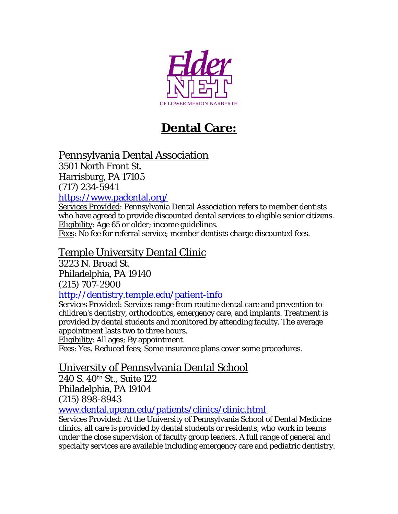

# **Dental Care:**

## Pennsylvania Dental Association

3501 North Front St. Harrisburg, PA 17105 (717) 234-5941 <https://www.padental.org/>

Services Provided: Pennsylvania Dental Association refers to member dentists who have agreed to provide discounted dental services to eligible senior citizens. Eligibility: Age 65 or older; income guidelines.

Fees: No fee for referral service; member dentists charge discounted fees.

### Temple University Dental Clinic

3223 N. Broad St. Philadelphia, PA 19140 (215) 707-2900

#### <http://dentistry.temple.edu/patient-info>

Services Provided: Services range from routine dental care and prevention to children's dentistry, orthodontics, emergency care, and implants. Treatment is provided by dental students and monitored by attending faculty. The average appointment lasts two to three hours.

Eligibility: All ages; By appointment.

Fees: Yes. Reduced fees; Some insurance plans cover some procedures.

#### University of Pennsylvania Dental School

240 S. 40th St., Suite 122 Philadelphia, PA 19104 (215) 898-8943

[www.dental.upenn.edu/patients/clinics/clinic.html](www.dental.upenn.edu/patients/clinics/clinic.html%C2%A0) 

Services Provided: At the University of Pennsylvania School of Dental Medicine clinics, all care is provided by dental students or residents, who work in teams under the close supervision of faculty group leaders. A full range of general and specialty services are available including emergency care and pediatric dentistry.